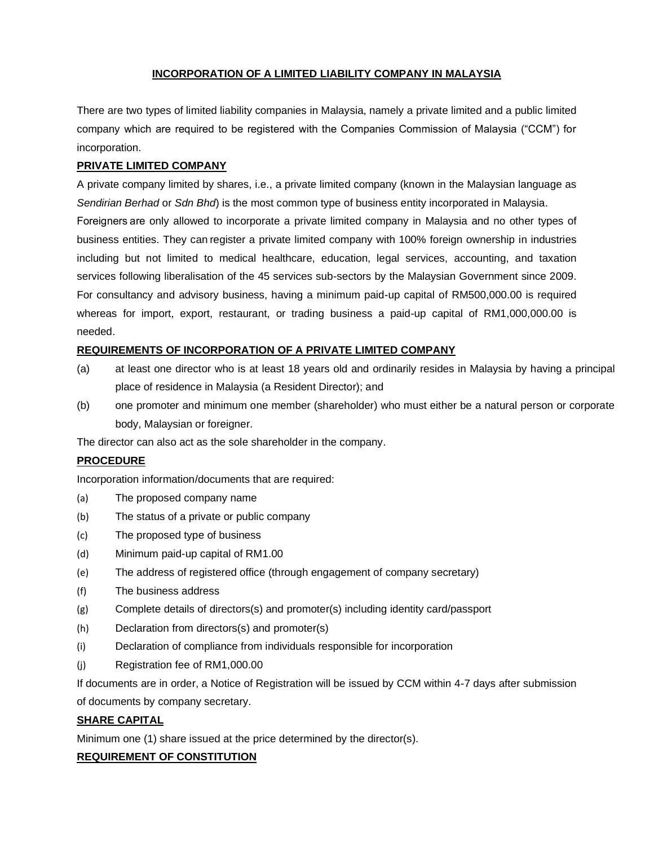## **INCORPORATION OF A LIMITED LIABILITY COMPANY IN MALAYSIA**

There are two types of limited liability companies in Malaysia, namely a private limited and a public limited company which are required to be registered with the Companies Commission of Malaysia ("CCM") for incorporation.

#### **PRIVATE LIMITED COMPANY**

A private company limited by shares, i.e., a private limited company (known in the Malaysian language as *Sendirian Berhad* or *Sdn Bhd*) is the most common type of business entity incorporated in Malaysia. Foreigners are only allowed to incorporate a private limited company in Malaysia and no other types of business entities. They canregister a private limited company with 100% foreign ownership in industries including but not limited to medical healthcare, education, legal services, accounting, and taxation services following liberalisation of the 45 services sub-sectors by the Malaysian Government since 2009. For consultancy and advisory business, having a minimum paid-up capital of RM500,000.00 is required whereas for import, export, restaurant, or trading business a paid-up capital of RM1,000,000.00 is needed.

#### **REQUIREMENTS OF INCORPORATION OF A PRIVATE LIMITED COMPANY**

- (a) at least one director who is at least 18 years old and ordinarily resides in Malaysia by having a principal place of residence in Malaysia (a Resident Director); and
- (b) one promoter and minimum one member (shareholder) who must either be a natural person or corporate body, Malaysian or foreigner.

The director can also act as the sole shareholder in the company.

### **PROCEDURE**

Incorporation information/documents that are required:

- (a) The proposed company name
- (b) The status of a private or public company
- (c) The proposed type of business
- (d) Minimum paid-up capital of RM1.00
- (e) The address of registered office (through engagement of company secretary)
- (f) The business address
- (g) Complete details of directors(s) and promoter(s) including identity card/passport
- (h) Declaration from directors(s) and promoter(s)
- (i) Declaration of compliance from individuals responsible for incorporation
- (j) Registration fee of RM1,000.00

If documents are in order, a Notice of Registration will be issued by CCM within 4-7 days after submission

of documents by company secretary.

### **SHARE CAPITAL**

Minimum one (1) share issued at the price determined by the director(s).

### **REQUIREMENT OF CONSTITUTION**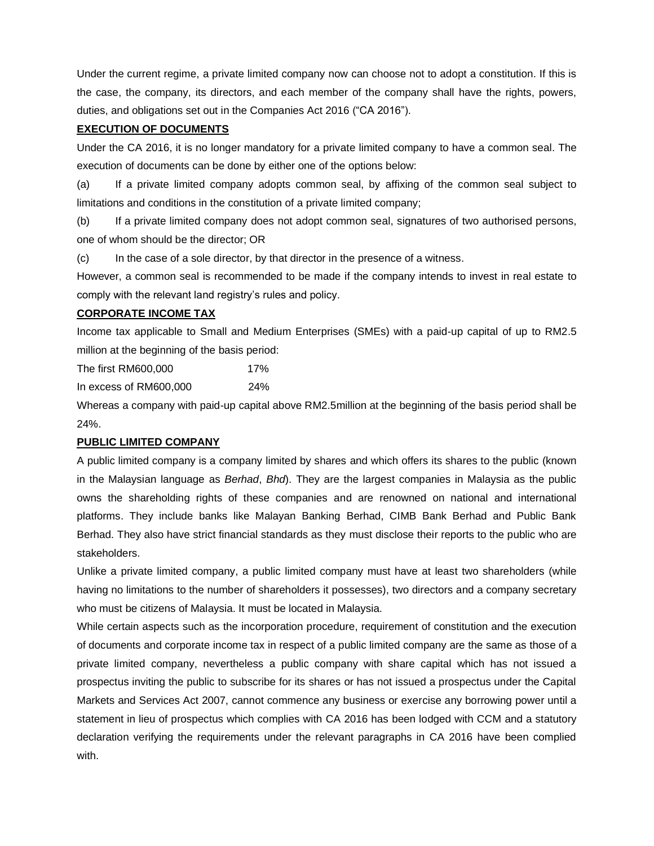Under the current regime, a private limited company now can choose not to adopt a constitution. If this is the case, the company, its directors, and each member of the company shall have the rights, powers, duties, and obligations set out in the Companies Act 2016 ("CA 2016").

## **EXECUTION OF DOCUMENTS**

Under the CA 2016, it is no longer mandatory for a private limited company to have a common seal. The execution of documents can be done by either one of the options below:

(a) If a private limited company adopts common seal, by affixing of the common seal subject to limitations and conditions in the constitution of a private limited company;

(b) If a private limited company does not adopt common seal, signatures of two authorised persons, one of whom should be the director; OR

(c) In the case of a sole director, by that director in the presence of a witness.

However, a common seal is recommended to be made if the company intends to invest in real estate to comply with the relevant land registry's rules and policy.

## **CORPORATE INCOME TAX**

Income tax applicable to Small and Medium Enterprises (SMEs) with a paid-up capital of up to RM2.5 million at the beginning of the basis period:

The first RM600,000 17%

In excess of RM600,000 24%

Whereas a company with paid-up capital above RM2.5million at the beginning of the basis period shall be 24%.

# **PUBLIC LIMITED COMPANY**

A public limited company is a company limited by shares and which offers its shares to the public (known in the Malaysian language as *Berhad*, *Bhd*). They are the largest companies in Malaysia as the public owns the shareholding rights of these companies and are renowned on national and international platforms. They include banks like Malayan Banking Berhad, CIMB Bank Berhad and Public Bank Berhad. They also have strict financial standards as they must disclose their reports to the public who are stakeholders.

Unlike a private limited company, a public limited company must have at least two shareholders (while having no limitations to the number of shareholders it possesses), two directors and a company secretary who must be citizens of Malaysia. It must be located in Malaysia.

While certain aspects such as the incorporation procedure, requirement of constitution and the execution of documents and corporate income tax in respect of a public limited company are the same as those of a private limited company, nevertheless a public company with share capital which has not issued a prospectus inviting the public to subscribe for its shares or has not issued a prospectus under the Capital Markets and Services Act 2007, cannot commence any business or exercise any borrowing power until a statement in lieu of prospectus which complies with CA 2016 has been lodged with CCM and a statutory declaration verifying the requirements under the relevant paragraphs in CA 2016 have been complied with.